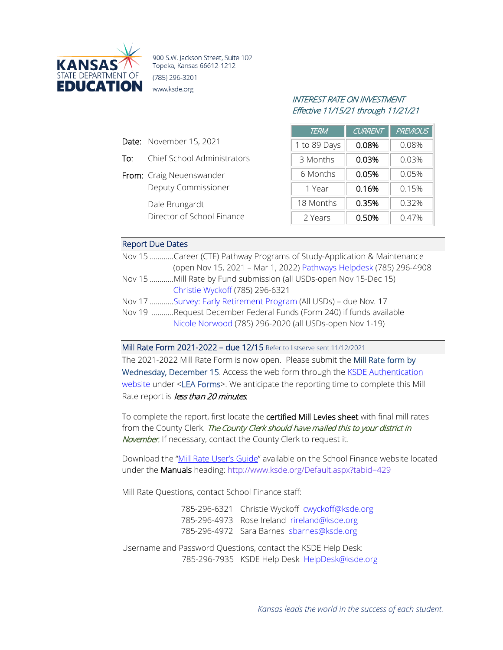

900 S.W. Jackson Street, Suite 102 Topeka, Kansas 66612-1212 (785) 296-3201 www.ksde.org

# INTEREST RATE ON INVESTMENT Effective 11/15/21 through 11/21/21

| <b>TERM</b>  | <b>CURRENT</b> | <b>PREVIOUS</b> |
|--------------|----------------|-----------------|
| 1 to 89 Days | 0.08%          | 0.08%           |
| 3 Months     | 0.03%          | 0.03%           |
| 6 Months     | 0.05%          | 0.05%           |
| 1 Year       | 0.16%          | 0.15%           |
| 18 Months    | 0.35%          | 0.32%           |
| 2 Years      | 0.50%          | 0.47%           |

#### Report Due Dates

Date: November 15, 2021

From: Craig Neuenswander

Dale Brungardt

To: Chief School Administrators

Deputy Commissioner

Director of School Finance

| Nov 15 Career (CTE) Pathway Programs of Study-Application & Maintenance |
|-------------------------------------------------------------------------|
| (open Nov 15, 2021 - Mar 1, 2022) Pathways Helpdesk (785) 296-4908      |
| Nov 15 Mill Rate by Fund submission (all USDs-open Nov 15-Dec 15)       |
| Christie Wyckoff (785) 296-6321                                         |
| Nov 17 Survey: Early Retirement Program (All USDs) - due Nov. 17        |
| Nov 19 Request December Federal Funds (Form 240) if funds available     |
| Nicole Norwood (785) 296-2020 (all USDs-open Nov 1-19)                  |

Mill Rate Form 2021-2022 – due 12/15 Refer to listserve sent 11/12/2021

The 2021-2022 Mill Rate Form is now open. Please submit the Mill Rate form by Wednesday, December 15. Access the web form through the KSDE Authentication [website](https://apps.ksde.org/authentication/login.aspx) under <LEA Forms>. We anticipate the reporting time to complete this Mill Rate report is less than 20 minutes.

To complete the report, first locate the certified Mill Levies sheet with final mill rates from the County Clerk. The County Clerk should have mailed this to your district in November. If necessary, contact the County Clerk to request it.

Download the ["Mill Rate User's Guide"](https://www.ksde.org/Portals/0/School%20Finance/guidelines_manuals/Mill%20Rates%20Users%20Guide.pdf?ver=2021-11-12-113353-883) available on the School Finance website located under the Manuals heading: <http://www.ksde.org/Default.aspx?tabid=429>

Mill Rate Questions, contact School Finance staff:

785-296-6321 Christie Wyckoff [cwyckoff@ksde.org](mailto:cwyckoff@ksde.org) 785-296-4973 Rose Ireland [rireland@ksde.org](mailto:rireland@ksde.org) 785-296-4972 Sara Barnes [sbarnes@ksde.org](mailto:sbarnes@ksde.org)

Username and Password Questions, contact the KSDE Help Desk: 785-296-7935 KSDE Help Desk [HelpDesk@ksde.org](mailto:HelpDesk@ksde.org)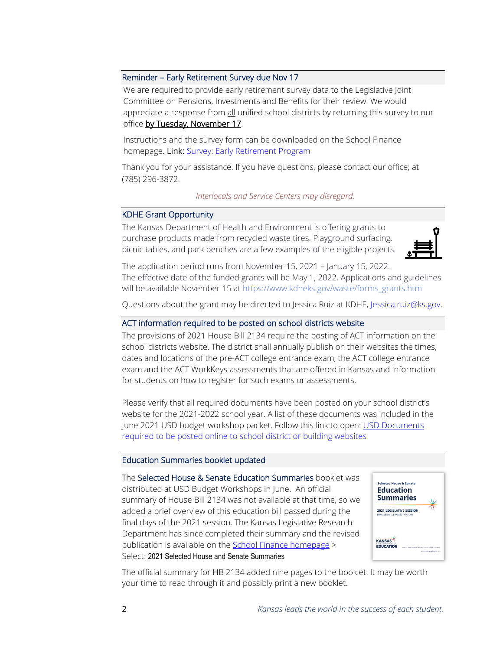#### Reminder – Early Retirement Survey due Nov 17

We are required to provide early retirement survey data to the Legislative Joint Committee on Pensions, Investments and Benefits for their review. We would appreciate a response from all unified school districts by returning this survey to our office by Tuesday, November 17.

Instructions and the survey form can be downloaded on the School Finance homepage. Link: [Survey: Early Retirement Program](https://www.ksde.org/Agency/Fiscal-and-Administrative-Services/School-Finance/Whats-New)

Thank you for your assistance. If you have questions, please contact our office; at (785) 296-3872.

#### *Interlocals and Service Centers may disregard.*

### KDHE Grant Opportunity

The Kansas Department of Health and Environment is offering grants to purchase products made from recycled waste tires. Playground surfacing, picnic tables, and park benches are a few examples of the eligible projects.



The application period runs from November 15, 2021 – January 15, 2022. The effective date of the funded grants will be May 1, 2022. Applications and guidelines will be available November 15 at [https://www.kdheks.gov/waste/forms\\_grants.html](https://gcc01.safelinks.protection.outlook.com/?url=https%3A%2F%2Fwww.kdheks.gov%2Fwaste%2Fforms_grants.html&data=04%7C01%7Cjessica.ruiz%40ks.gov%7C0bc5bdbc67044523253508d87b814f0f%7Cdcae8101c92d480cbc43c6761ccccc5a%7C0%7C1%7C637395142611575125%7CUnknown%7CTWFpbGZsb3d8eyJWIjoiMC4wLjAwMDAiLCJQIjoiV2luMzIiLCJBTiI6Ik1haWwiLCJXVCI6Mn0%3D%7C1000&sdata=r70Gvkp4%2BuGTHqeSnG5bkldF6dbvtp5rPx2v0xBNJ1A%3D&reserved=0)

Questions about the grant may be directed to Jessica Ruiz at KDHE, [Jessica.ruiz@ks.gov.](mailto:Jessica.ruiz@ks.gov)

## ACT information required to be posted on school districts website

The provisions of 2021 House Bill 2134 require the posting of ACT information on the school districts website. The district shall annually publish on their websites the times, dates and locations of the pre-ACT college entrance exam, the ACT college entrance exam and the ACT WorkKeys assessments that are offered in Kansas and information for students on how to register for such exams or assessments.

Please verify that all required documents have been posted on your school district's website for the 2021-2022 school year. A list of these documents was included in the June 2021 USD budget workshop packet. Follow this link to open: [USD Documents](https://www.ksde.org/Portals/0/School%20Finance/budget/Online%20Budget%20Packet/post%20to%20USD%20website.pdf?ver=2019-08-15-133932-567)  [required to be posted online to school district or building websites](https://www.ksde.org/Portals/0/School%20Finance/budget/Online%20Budget%20Packet/post%20to%20USD%20website.pdf?ver=2019-08-15-133932-567)

#### Education Summaries booklet updated

The Selected House & Senate Education Summaries booklet was distributed at USD Budget Workshops in June. An official summary of House Bill 2134 was not available at that time, so we added a brief overview of this education bill passed during the final days of the 2021 session. The Kansas Legislative Research Department has since completed their summary and the revised publication is available on the School [Finance homepage](https://www.ksde.org/Agency/Fiscal-and-Administrative-Services/School-Finance/Legislation) > Select: 2021 Selected House and Senate Summaries



The official summary for HB 2134 added nine pages to the booklet. It may be worth your time to read through it and possibly print a new booklet.